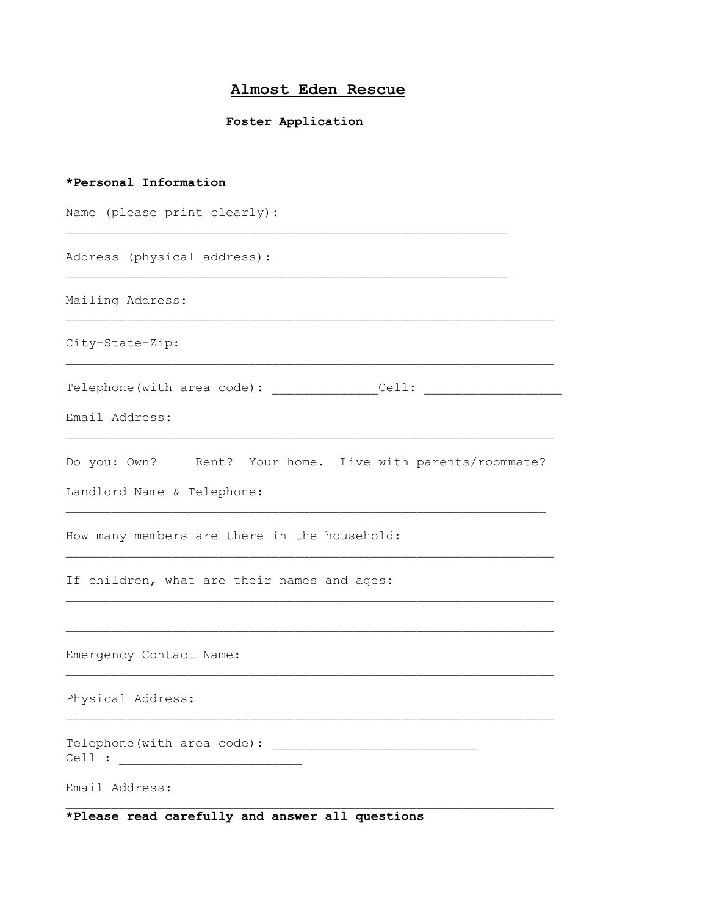## **Almost Eden Rescue**

## **Foster Application**

| *Personal Information                                                                   |
|-----------------------------------------------------------------------------------------|
| Name (please print clearly):                                                            |
| Address (physical address):                                                             |
| Mailing Address:                                                                        |
| City-State-Zip:                                                                         |
| Telephone(with area code): Cell:                                                        |
| Email Address:                                                                          |
| Do you: Own? Rent? Your home. Live with parents/roommate?<br>Landlord Name & Telephone: |
| How many members are there in the household:                                            |
| If children, what are their names and ages:                                             |
| Emergency Contact Name:                                                                 |
| Physical Address:                                                                       |
|                                                                                         |
| Email Address:                                                                          |
| *Please read carefully and answer all questions                                         |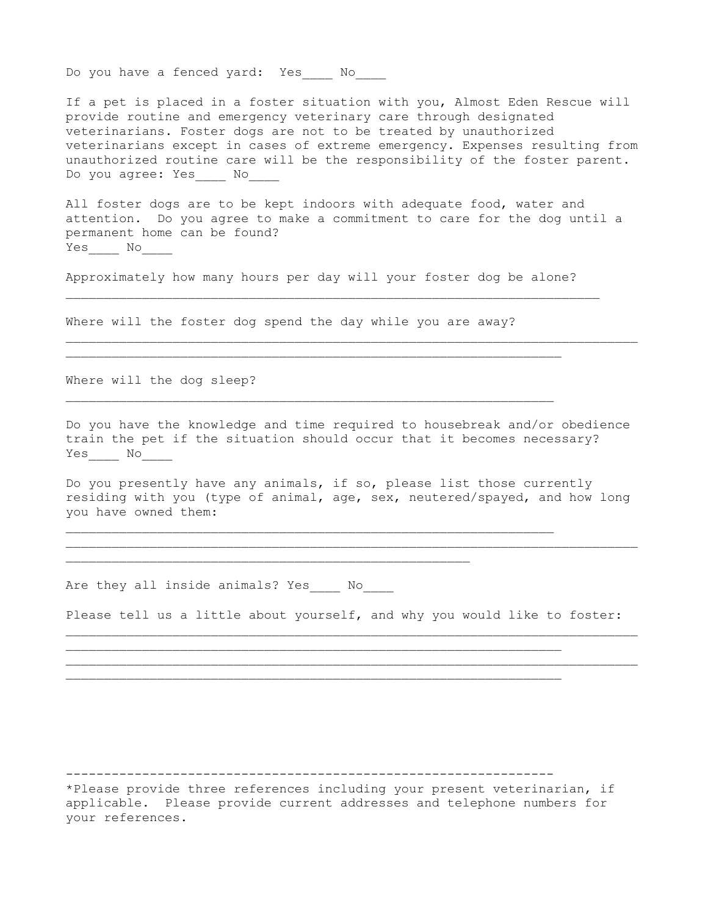Do you have a fenced yard: Yes \_\_\_ No

If a pet is placed in a foster situation with you, Almost Eden Rescue will provide routine and emergency veterinary care through designated veterinarians. Foster dogs are not to be treated by unauthorized veterinarians except in cases of extreme emergency. Expenses resulting from unauthorized routine care will be the responsibility of the foster parent. Do you agree: Yes No

All foster dogs are to be kept indoors with adequate food, water and attention. Do you agree to make a commitment to care for the dog until a permanent home can be found? Yes No

Approximately how many hours per day will your foster dog be alone?

 $\_$  , and the set of the set of the set of the set of the set of the set of the set of the set of the set of the set of the set of the set of the set of the set of the set of the set of the set of the set of the set of th

Where will the foster dog spend the day while you are away?

\_\_\_\_\_\_\_\_\_\_\_\_\_\_\_\_\_\_\_\_\_\_\_\_\_\_\_\_\_\_\_\_\_\_\_\_\_\_\_\_\_\_\_\_\_\_\_\_\_\_\_\_\_\_\_\_\_\_\_\_\_\_\_\_

\_\_\_\_\_\_\_\_\_\_\_\_\_\_\_\_\_\_\_\_\_\_\_\_\_\_\_\_\_\_\_\_\_\_\_\_\_\_\_\_\_\_\_\_\_\_\_\_\_\_\_\_\_\_\_\_\_\_\_\_\_\_\_\_

 $\mathcal{L}_\text{max}$  , and the contract of the contract of the contract of the contract of the contract of the contract of the contract of the contract of the contract of the contract of the contract of the contract of the contr

Where will the dog sleep?

Do you have the knowledge and time required to housebreak and/or obedience train the pet if the situation should occur that it becomes necessary? Yes\_\_\_\_ No\_\_\_\_

 $\_$  , and the set of the set of the set of the set of the set of the set of the set of the set of the set of the set of the set of the set of the set of the set of the set of the set of the set of the set of the set of th

Do you presently have any animals, if so, please list those currently residing with you (type of animal, age, sex, neutered/spayed, and how long you have owned them:

 $\_$  , and the set of the set of the set of the set of the set of the set of the set of the set of the set of the set of the set of the set of the set of the set of the set of the set of the set of the set of the set of th

Are they all inside animals? Yes \_\_\_ No

Please tell us a little about yourself, and why you would like to foster: \_\_\_\_\_\_\_\_\_\_\_\_\_\_\_\_\_\_\_\_\_\_\_\_\_\_\_\_\_\_\_\_\_\_\_\_\_\_\_\_\_\_\_\_\_\_\_\_\_\_\_\_\_\_\_\_\_\_\_\_\_\_\_\_\_\_\_\_\_\_\_\_\_\_\_

 $\_$  , and the set of the set of the set of the set of the set of the set of the set of the set of the set of the set of the set of the set of the set of the set of the set of the set of the set of the set of the set of th

----------------------------------------------------------------

\_\_\_\_\_\_\_\_\_\_\_\_\_\_\_\_\_\_\_\_\_\_\_\_\_\_\_\_\_\_\_\_\_\_\_\_\_\_\_\_\_\_\_\_\_\_\_\_\_\_\_\_\_\_\_\_\_\_\_\_\_\_\_\_\_

 $\_$  , and the set of the set of the set of the set of the set of the set of the set of the set of the set of the set of the set of the set of the set of the set of the set of the set of the set of the set of the set of th

\*Please provide three references including your present veterinarian, if applicable. Please provide current addresses and telephone numbers for your references.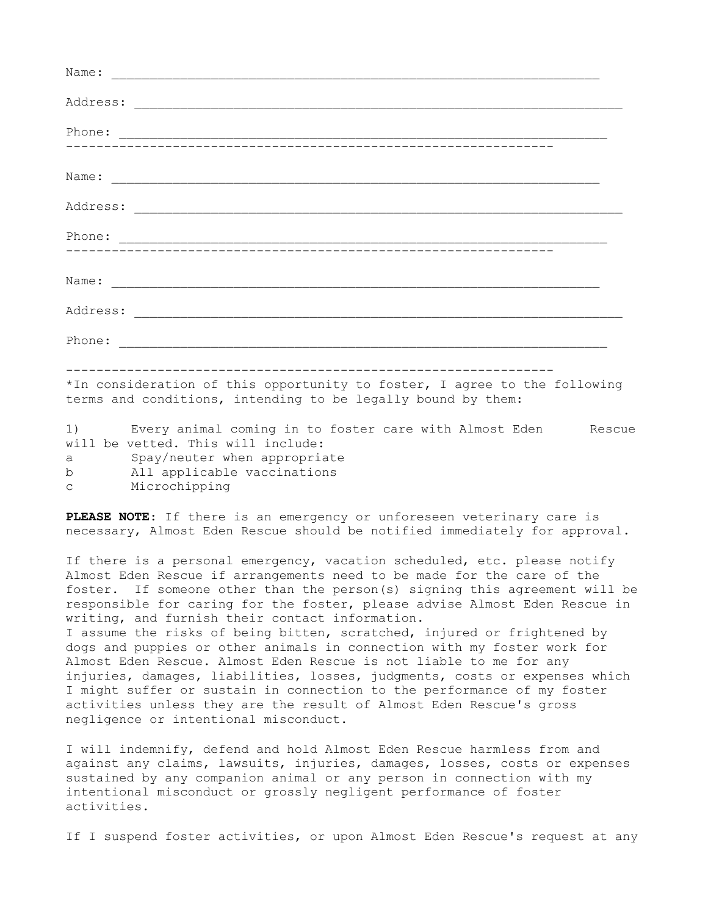| *In consideration of this opportunity to foster, I agree to the following<br>terms and conditions, intending to be legally bound by them: |
|-------------------------------------------------------------------------------------------------------------------------------------------|
| 1) Every animal coming in to foster care with Almost Eden Rescue<br>will be vetted. This will include:<br>a Spay/neuter when appropriate  |

b All applicable vaccinations

negligence or intentional misconduct.

c Microchipping

**PLEASE NOTE**: If there is an emergency or unforeseen veterinary care is necessary, Almost Eden Rescue should be notified immediately for approval.

If there is a personal emergency, vacation scheduled, etc. please notify Almost Eden Rescue if arrangements need to be made for the care of the foster. If someone other than the person(s) signing this agreement will be responsible for caring for the foster, please advise Almost Eden Rescue in writing, and furnish their contact information. I assume the risks of being bitten, scratched, injured or frightened by dogs and puppies or other animals in connection with my foster work for Almost Eden Rescue. Almost Eden Rescue is not liable to me for any injuries, damages, liabilities, losses, judgments, costs or expenses which I might suffer or sustain in connection to the performance of my foster activities unless they are the result of Almost Eden Rescue's gross

I will indemnify, defend and hold Almost Eden Rescue harmless from and against any claims, lawsuits, injuries, damages, losses, costs or expenses sustained by any companion animal or any person in connection with my intentional misconduct or grossly negligent performance of foster activities.

If I suspend foster activities, or upon Almost Eden Rescue's request at any